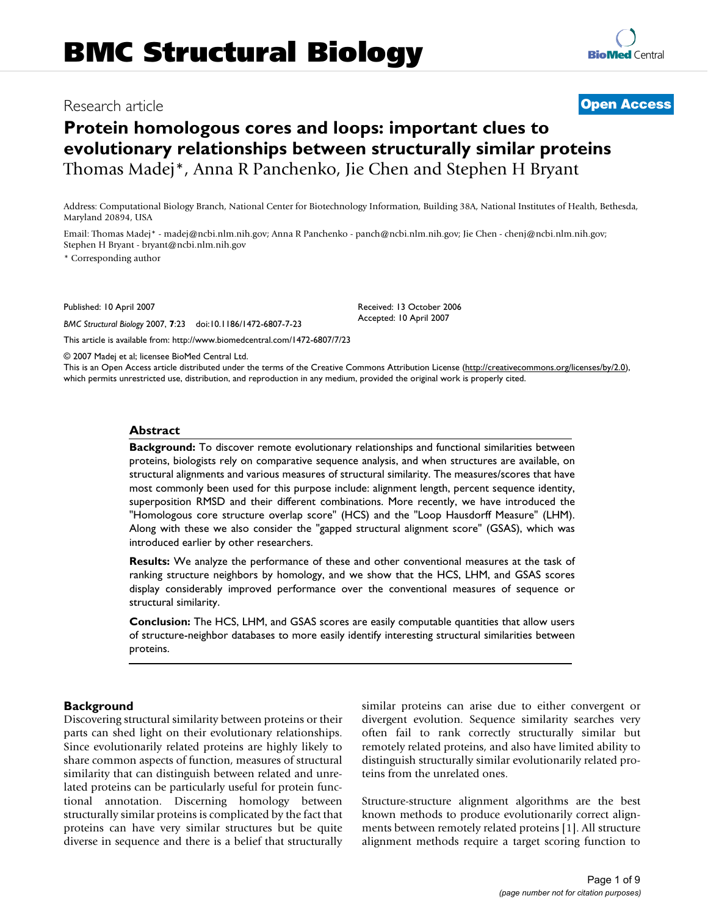# **Protein homologous cores and loops: important clues to evolutionary relationships between structurally similar proteins** Thomas Madej\*, Anna R Panchenko, Jie Chen and Stephen H Bryant

Address: Computational Biology Branch, National Center for Biotechnology Information, Building 38A, National Institutes of Health, Bethesda, Maryland 20894, USA

Email: Thomas Madej\* - madej@ncbi.nlm.nih.gov; Anna R Panchenko - panch@ncbi.nlm.nih.gov; Jie Chen - chenj@ncbi.nlm.nih.gov; Stephen H Bryant - bryant@ncbi.nlm.nih.gov

\* Corresponding author

Published: 10 April 2007

*BMC Structural Biology* 2007, **7**:23 doi:10.1186/1472-6807-7-23

[This article is available from: http://www.biomedcentral.com/1472-6807/7/23](http://www.biomedcentral.com/1472-6807/7/23)

© 2007 Madej et al; licensee BioMed Central Ltd.

This is an Open Access article distributed under the terms of the Creative Commons Attribution License [\(http://creativecommons.org/licenses/by/2.0\)](http://creativecommons.org/licenses/by/2.0), which permits unrestricted use, distribution, and reproduction in any medium, provided the original work is properly cited.

### **Abstract**

**Background:** To discover remote evolutionary relationships and functional similarities between proteins, biologists rely on comparative sequence analysis, and when structures are available, on structural alignments and various measures of structural similarity. The measures/scores that have most commonly been used for this purpose include: alignment length, percent sequence identity, superposition RMSD and their different combinations. More recently, we have introduced the "Homologous core structure overlap score" (HCS) and the "Loop Hausdorff Measure" (LHM). Along with these we also consider the "gapped structural alignment score" (GSAS), which was introduced earlier by other researchers.

**Results:** We analyze the performance of these and other conventional measures at the task of ranking structure neighbors by homology, and we show that the HCS, LHM, and GSAS scores display considerably improved performance over the conventional measures of sequence or structural similarity.

**Conclusion:** The HCS, LHM, and GSAS scores are easily computable quantities that allow users of structure-neighbor databases to more easily identify interesting structural similarities between proteins.

### **Background**

Discovering structural similarity between proteins or their parts can shed light on their evolutionary relationships. Since evolutionarily related proteins are highly likely to share common aspects of function, measures of structural similarity that can distinguish between related and unrelated proteins can be particularly useful for protein functional annotation. Discerning homology between structurally similar proteins is complicated by the fact that proteins can have very similar structures but be quite diverse in sequence and there is a belief that structurally similar proteins can arise due to either convergent or divergent evolution. Sequence similarity searches very often fail to rank correctly structurally similar but remotely related proteins, and also have limited ability to distinguish structurally similar evolutionarily related proteins from the unrelated ones.

Structure-structure alignment algorithms are the best known methods to produce evolutionarily correct alignments between remotely related proteins [1]. All structure alignment methods require a target scoring function to

# Research article **[Open Access](http://www.biomedcentral.com/info/about/charter/)**

Received: 13 October 2006 Accepted: 10 April 2007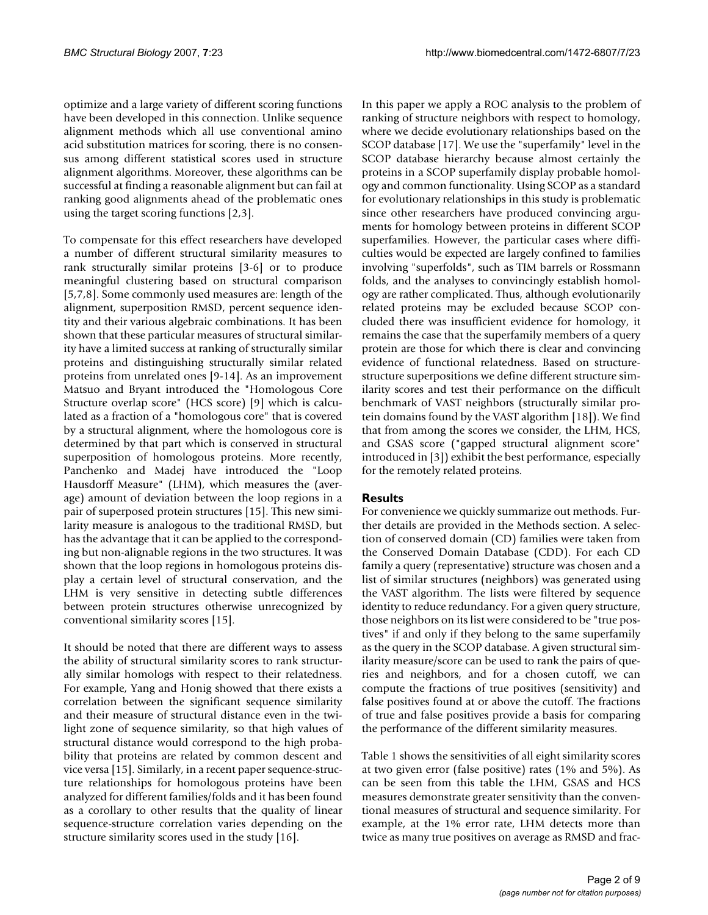optimize and a large variety of different scoring functions have been developed in this connection. Unlike sequence alignment methods which all use conventional amino acid substitution matrices for scoring, there is no consensus among different statistical scores used in structure alignment algorithms. Moreover, these algorithms can be successful at finding a reasonable alignment but can fail at ranking good alignments ahead of the problematic ones using the target scoring functions [2,3].

To compensate for this effect researchers have developed a number of different structural similarity measures to rank structurally similar proteins [3-6] or to produce meaningful clustering based on structural comparison [5,7,8]. Some commonly used measures are: length of the alignment, superposition RMSD, percent sequence identity and their various algebraic combinations. It has been shown that these particular measures of structural similarity have a limited success at ranking of structurally similar proteins and distinguishing structurally similar related proteins from unrelated ones [9-14]. As an improvement Matsuo and Bryant introduced the "Homologous Core Structure overlap score" (HCS score) [9] which is calculated as a fraction of a "homologous core" that is covered by a structural alignment, where the homologous core is determined by that part which is conserved in structural superposition of homologous proteins. More recently, Panchenko and Madej have introduced the "Loop Hausdorff Measure" (LHM), which measures the (average) amount of deviation between the loop regions in a pair of superposed protein structures [15]. This new similarity measure is analogous to the traditional RMSD, but has the advantage that it can be applied to the corresponding but non-alignable regions in the two structures. It was shown that the loop regions in homologous proteins display a certain level of structural conservation, and the LHM is very sensitive in detecting subtle differences between protein structures otherwise unrecognized by conventional similarity scores [15].

It should be noted that there are different ways to assess the ability of structural similarity scores to rank structurally similar homologs with respect to their relatedness. For example, Yang and Honig showed that there exists a correlation between the significant sequence similarity and their measure of structural distance even in the twilight zone of sequence similarity, so that high values of structural distance would correspond to the high probability that proteins are related by common descent and vice versa [15]. Similarly, in a recent paper sequence-structure relationships for homologous proteins have been analyzed for different families/folds and it has been found as a corollary to other results that the quality of linear sequence-structure correlation varies depending on the structure similarity scores used in the study [16].

In this paper we apply a ROC analysis to the problem of ranking of structure neighbors with respect to homology, where we decide evolutionary relationships based on the SCOP database [17]. We use the "superfamily" level in the SCOP database hierarchy because almost certainly the proteins in a SCOP superfamily display probable homology and common functionality. Using SCOP as a standard for evolutionary relationships in this study is problematic since other researchers have produced convincing arguments for homology between proteins in different SCOP superfamilies. However, the particular cases where difficulties would be expected are largely confined to families involving "superfolds", such as TIM barrels or Rossmann folds, and the analyses to convincingly establish homology are rather complicated. Thus, although evolutionarily related proteins may be excluded because SCOP concluded there was insufficient evidence for homology, it remains the case that the superfamily members of a query protein are those for which there is clear and convincing evidence of functional relatedness. Based on structurestructure superpositions we define different structure similarity scores and test their performance on the difficult benchmark of VAST neighbors (structurally similar protein domains found by the VAST algorithm [18]). We find that from among the scores we consider, the LHM, HCS, and GSAS score ("gapped structural alignment score" introduced in [3]) exhibit the best performance, especially for the remotely related proteins.

# **Results**

For convenience we quickly summarize out methods. Further details are provided in the Methods section. A selection of conserved domain (CD) families were taken from the Conserved Domain Database (CDD). For each CD family a query (representative) structure was chosen and a list of similar structures (neighbors) was generated using the VAST algorithm. The lists were filtered by sequence identity to reduce redundancy. For a given query structure, those neighbors on its list were considered to be "true postives" if and only if they belong to the same superfamily as the query in the SCOP database. A given structural similarity measure/score can be used to rank the pairs of queries and neighbors, and for a chosen cutoff, we can compute the fractions of true positives (sensitivity) and false positives found at or above the cutoff. The fractions of true and false positives provide a basis for comparing the performance of the different similarity measures.

Table 1 shows the sensitivities of all eight similarity scores at two given error (false positive) rates (1% and 5%). As can be seen from this table the LHM, GSAS and HCS measures demonstrate greater sensitivity than the conventional measures of structural and sequence similarity. For example, at the 1% error rate, LHM detects more than twice as many true positives on average as RMSD and frac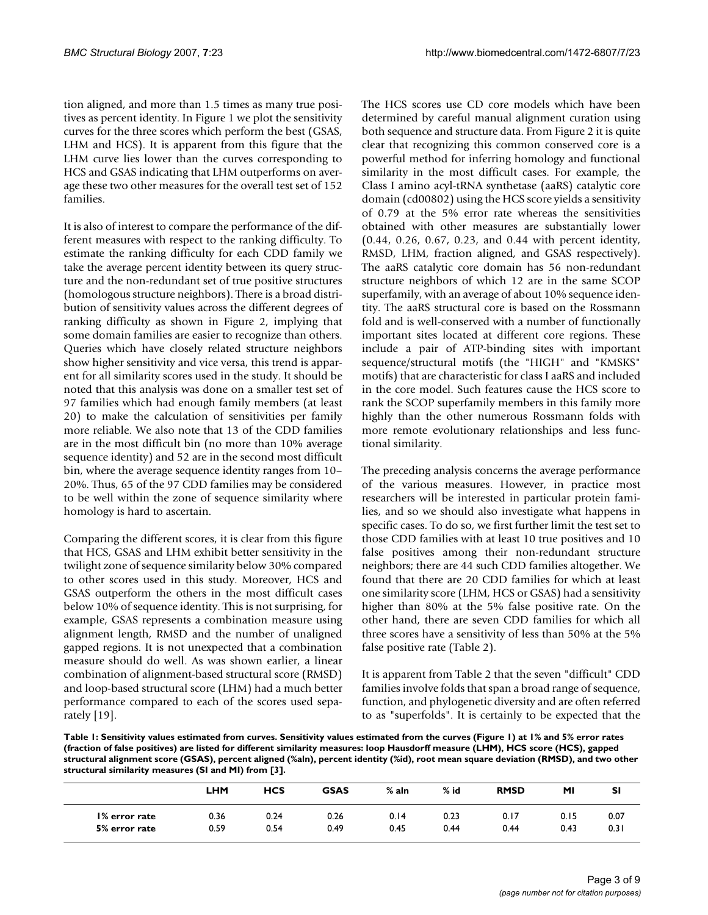tion aligned, and more than 1.5 times as many true positives as percent identity. In Figure 1 we plot the sensitivity curves for the three scores which perform the best (GSAS, LHM and HCS). It is apparent from this figure that the LHM curve lies lower than the curves corresponding to HCS and GSAS indicating that LHM outperforms on average these two other measures for the overall test set of 152 families.

It is also of interest to compare the performance of the different measures with respect to the ranking difficulty. To estimate the ranking difficulty for each CDD family we take the average percent identity between its query structure and the non-redundant set of true positive structures (homologous structure neighbors). There is a broad distribution of sensitivity values across the different degrees of ranking difficulty as shown in Figure 2, implying that some domain families are easier to recognize than others. Queries which have closely related structure neighbors show higher sensitivity and vice versa, this trend is apparent for all similarity scores used in the study. It should be noted that this analysis was done on a smaller test set of 97 families which had enough family members (at least 20) to make the calculation of sensitivities per family more reliable. We also note that 13 of the CDD families are in the most difficult bin (no more than 10% average sequence identity) and 52 are in the second most difficult bin, where the average sequence identity ranges from 10– 20%. Thus, 65 of the 97 CDD families may be considered to be well within the zone of sequence similarity where homology is hard to ascertain.

Comparing the different scores, it is clear from this figure that HCS, GSAS and LHM exhibit better sensitivity in the twilight zone of sequence similarity below 30% compared to other scores used in this study. Moreover, HCS and GSAS outperform the others in the most difficult cases below 10% of sequence identity. This is not surprising, for example, GSAS represents a combination measure using alignment length, RMSD and the number of unaligned gapped regions. It is not unexpected that a combination measure should do well. As was shown earlier, a linear combination of alignment-based structural score (RMSD) and loop-based structural score (LHM) had a much better performance compared to each of the scores used separately [19].

The HCS scores use CD core models which have been determined by careful manual alignment curation using both sequence and structure data. From Figure 2 it is quite clear that recognizing this common conserved core is a powerful method for inferring homology and functional similarity in the most difficult cases. For example, the Class I amino acyl-tRNA synthetase (aaRS) catalytic core domain (cd00802) using the HCS score yields a sensitivity of 0.79 at the 5% error rate whereas the sensitivities obtained with other measures are substantially lower (0.44, 0.26, 0.67, 0.23, and 0.44 with percent identity, RMSD, LHM, fraction aligned, and GSAS respectively). The aaRS catalytic core domain has 56 non-redundant structure neighbors of which 12 are in the same SCOP superfamily, with an average of about 10% sequence identity. The aaRS structural core is based on the Rossmann fold and is well-conserved with a number of functionally important sites located at different core regions. These include a pair of ATP-binding sites with important sequence/structural motifs (the "HIGH" and "KMSKS" motifs) that are characteristic for class I aaRS and included in the core model. Such features cause the HCS score to rank the SCOP superfamily members in this family more highly than the other numerous Rossmann folds with more remote evolutionary relationships and less functional similarity.

The preceding analysis concerns the average performance of the various measures. However, in practice most researchers will be interested in particular protein families, and so we should also investigate what happens in specific cases. To do so, we first further limit the test set to those CDD families with at least 10 true positives and 10 false positives among their non-redundant structure neighbors; there are 44 such CDD families altogether. We found that there are 20 CDD families for which at least one similarity score (LHM, HCS or GSAS) had a sensitivity higher than 80% at the 5% false positive rate. On the other hand, there are seven CDD families for which all three scores have a sensitivity of less than 50% at the 5% false positive rate (Table 2).

It is apparent from Table 2 that the seven "difficult" CDD families involve folds that span a broad range of sequence, function, and phylogenetic diversity and are often referred to as "superfolds". It is certainly to be expected that the

**Table 1: Sensitivity values estimated from curves. Sensitivity values estimated from the curves (Figure 1) at 1% and 5% error rates (fraction of false positives) are listed for different similarity measures: loop Hausdorff measure (LHM), HCS score (HCS), gapped structural alignment score (GSAS), percent aligned (%aln), percent identity (%id), root mean square deviation (RMSD), and two other structural similarity measures (SI and MI) from [3].**

|               | LHM  | <b>HCS</b> | <b>GSAS</b> | $%$ aln | $%$ id | <b>RMSD</b> | MI   | SI   |
|---------------|------|------------|-------------|---------|--------|-------------|------|------|
| I% error rate | 0.36 | 0.24       | 0.26        | 0.14    | 0.23   | 0.17        | 0.15 | 0.07 |
| 5% error rate | 0.59 | 0.54       | 0.49        | 0.45    | 0.44   | 0.44        | 0.43 | 0.31 |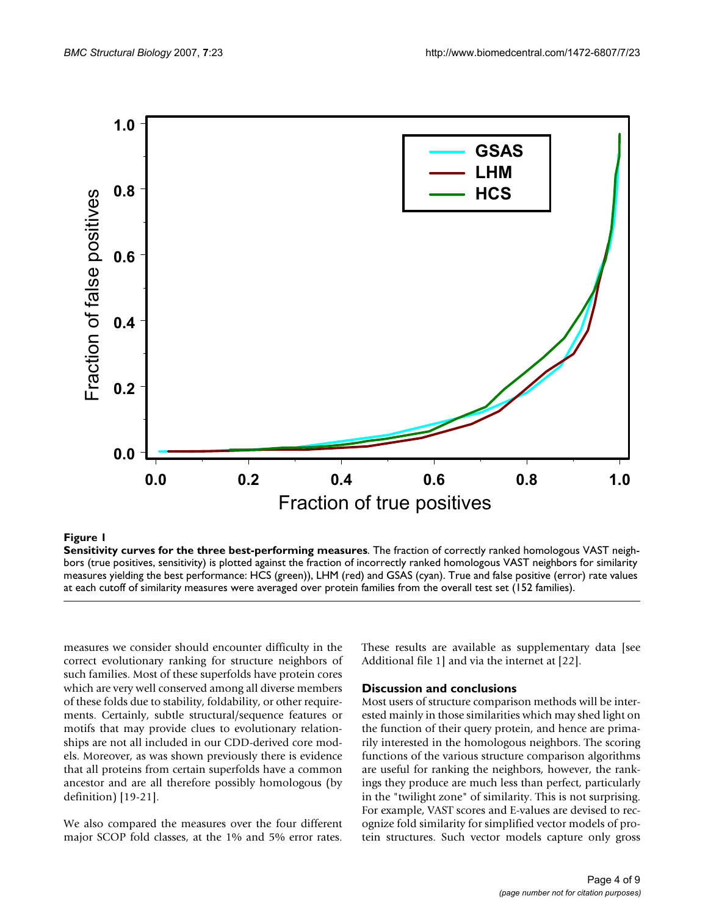

#### Figure 1

**Sensitivity curves for the three best-performing measures**. The fraction of correctly ranked homologous VAST neighbors (true positives, sensitivity) is plotted against the fraction of incorrectly ranked homologous VAST neighbors for similarity measures yielding the best performance: HCS (green)), LHM (red) and GSAS (cyan). True and false positive (error) rate values at each cutoff of similarity measures were averaged over protein families from the overall test set (152 families).

measures we consider should encounter difficulty in the correct evolutionary ranking for structure neighbors of such families. Most of these superfolds have protein cores which are very well conserved among all diverse members of these folds due to stability, foldability, or other requirements. Certainly, subtle structural/sequence features or motifs that may provide clues to evolutionary relationships are not all included in our CDD-derived core models. Moreover, as was shown previously there is evidence that all proteins from certain superfolds have a common ancestor and are all therefore possibly homologous (by definition) [19-21].

We also compared the measures over the four different major SCOP fold classes, at the 1% and 5% error rates.

These results are available as supplementary data [see Additional file 1] and via the internet at [22].

# **Discussion and conclusions**

Most users of structure comparison methods will be interested mainly in those similarities which may shed light on the function of their query protein, and hence are primarily interested in the homologous neighbors. The scoring functions of the various structure comparison algorithms are useful for ranking the neighbors, however, the rankings they produce are much less than perfect, particularly in the "twilight zone" of similarity. This is not surprising. For example, VAST scores and E-values are devised to recognize fold similarity for simplified vector models of protein structures. Such vector models capture only gross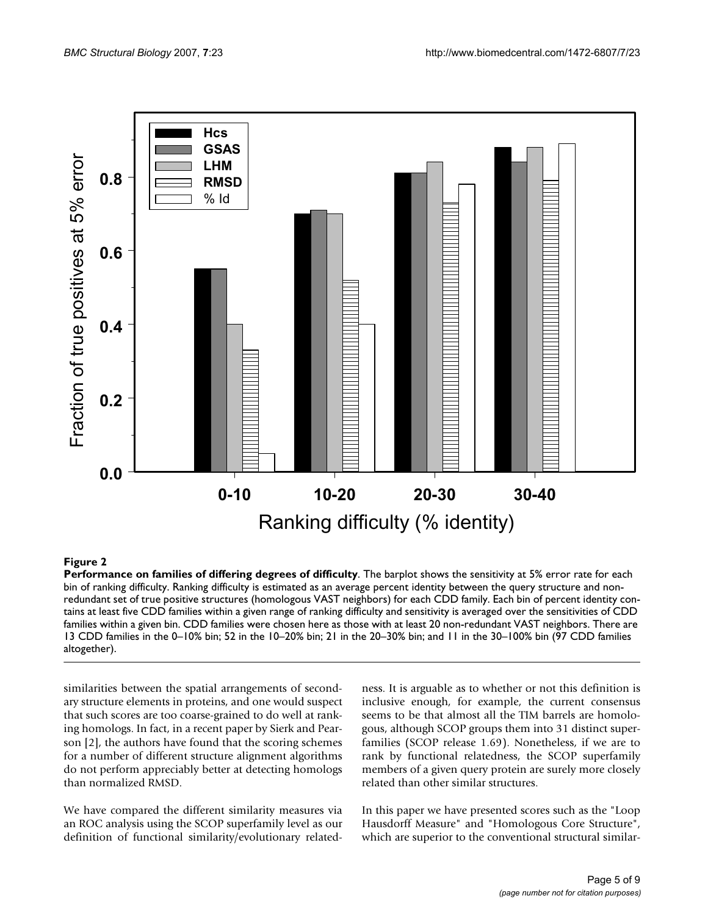

# **Figure 2**

**Performance on families of differing degrees of difficulty**. The barplot shows the sensitivity at 5% error rate for each bin of ranking difficulty. Ranking difficulty is estimated as an average percent identity between the query structure and nonredundant set of true positive structures (homologous VAST neighbors) for each CDD family. Each bin of percent identity contains at least five CDD families within a given range of ranking difficulty and sensitivity is averaged over the sensitivities of CDD families within a given bin. CDD families were chosen here as those with at least 20 non-redundant VAST neighbors. There are 13 CDD families in the 0–10% bin; 52 in the 10–20% bin; 21 in the 20–30% bin; and 11 in the 30–100% bin (97 CDD families altogether).

similarities between the spatial arrangements of secondary structure elements in proteins, and one would suspect that such scores are too coarse-grained to do well at ranking homologs. In fact, in a recent paper by Sierk and Pearson [2], the authors have found that the scoring schemes for a number of different structure alignment algorithms do not perform appreciably better at detecting homologs than normalized RMSD.

We have compared the different similarity measures via an ROC analysis using the SCOP superfamily level as our definition of functional similarity/evolutionary relatedness. It is arguable as to whether or not this definition is inclusive enough, for example, the current consensus seems to be that almost all the TIM barrels are homologous, although SCOP groups them into 31 distinct superfamilies (SCOP release 1.69). Nonetheless, if we are to rank by functional relatedness, the SCOP superfamily members of a given query protein are surely more closely related than other similar structures.

In this paper we have presented scores such as the "Loop Hausdorff Measure" and "Homologous Core Structure", which are superior to the conventional structural similar-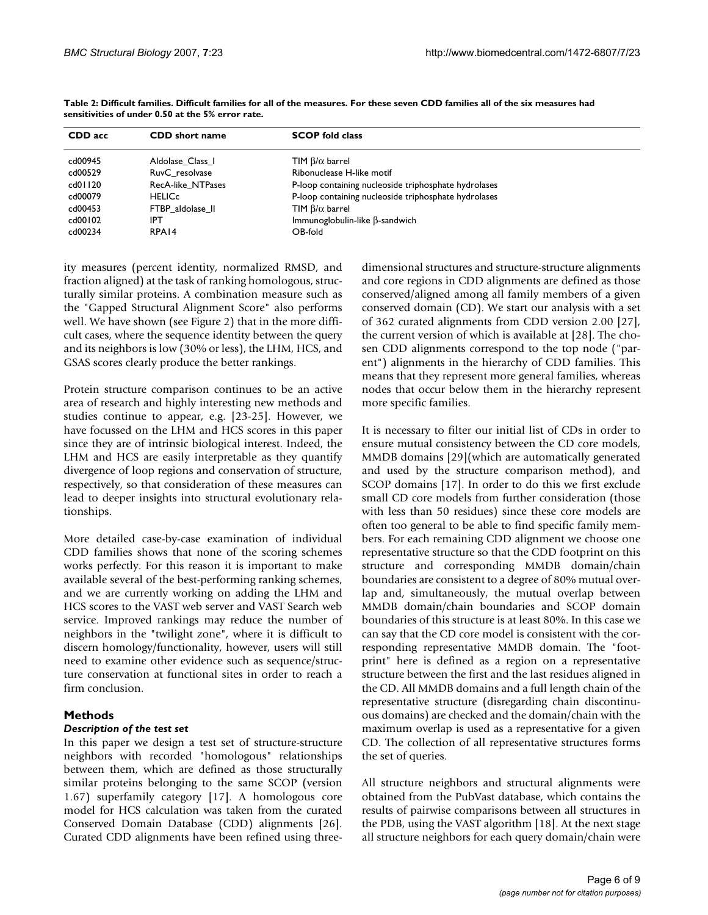| CDD acc<br><b>CDD</b> short name |                   | <b>SCOP</b> fold class                               |  |  |  |
|----------------------------------|-------------------|------------------------------------------------------|--|--|--|
| cd00945                          | Aldolase Class I  | TIM $\beta/\alpha$ barrel                            |  |  |  |
| cd00529                          | RuvC resolvase    | Ribonuclease H-like motif                            |  |  |  |
| cd01120                          | RecA-like NTPases | P-loop containing nucleoside triphosphate hydrolases |  |  |  |
| cd00079                          | <b>HELICc</b>     | P-loop containing nucleoside triphosphate hydrolases |  |  |  |
| cd00453                          | FTBP aldolase II  | TIM $\beta/\alpha$ barrel                            |  |  |  |
| cd00102                          | IPT               | Immunoglobulin-like $\beta$ -sandwich                |  |  |  |
| cd00234                          | RPA <sub>14</sub> | OB-fold                                              |  |  |  |

**Table 2: Difficult families. Difficult families for all of the measures. For these seven CDD families all of the six measures had sensitivities of under 0.50 at the 5% error rate.**

ity measures (percent identity, normalized RMSD, and fraction aligned) at the task of ranking homologous, structurally similar proteins. A combination measure such as the "Gapped Structural Alignment Score" also performs well. We have shown (see Figure 2) that in the more difficult cases, where the sequence identity between the query and its neighbors is low (30% or less), the LHM, HCS, and GSAS scores clearly produce the better rankings.

Protein structure comparison continues to be an active area of research and highly interesting new methods and studies continue to appear, e.g. [23-25]. However, we have focussed on the LHM and HCS scores in this paper since they are of intrinsic biological interest. Indeed, the LHM and HCS are easily interpretable as they quantify divergence of loop regions and conservation of structure, respectively, so that consideration of these measures can lead to deeper insights into structural evolutionary relationships.

More detailed case-by-case examination of individual CDD families shows that none of the scoring schemes works perfectly. For this reason it is important to make available several of the best-performing ranking schemes, and we are currently working on adding the LHM and HCS scores to the VAST web server and VAST Search web service. Improved rankings may reduce the number of neighbors in the "twilight zone", where it is difficult to discern homology/functionality, however, users will still need to examine other evidence such as sequence/structure conservation at functional sites in order to reach a firm conclusion.

# **Methods**

### *Description of the test set*

In this paper we design a test set of structure-structure neighbors with recorded "homologous" relationships between them, which are defined as those structurally similar proteins belonging to the same SCOP (version 1.67) superfamily category [17]. A homologous core model for HCS calculation was taken from the curated Conserved Domain Database (CDD) alignments [26]. Curated CDD alignments have been refined using threedimensional structures and structure-structure alignments and core regions in CDD alignments are defined as those conserved/aligned among all family members of a given conserved domain (CD). We start our analysis with a set of 362 curated alignments from CDD version 2.00 [27], the current version of which is available at [28]. The chosen CDD alignments correspond to the top node ("parent") alignments in the hierarchy of CDD families. This means that they represent more general families, whereas nodes that occur below them in the hierarchy represent more specific families.

It is necessary to filter our initial list of CDs in order to ensure mutual consistency between the CD core models, MMDB domains [29](which are automatically generated and used by the structure comparison method), and SCOP domains [17]. In order to do this we first exclude small CD core models from further consideration (those with less than 50 residues) since these core models are often too general to be able to find specific family members. For each remaining CDD alignment we choose one representative structure so that the CDD footprint on this structure and corresponding MMDB domain/chain boundaries are consistent to a degree of 80% mutual overlap and, simultaneously, the mutual overlap between MMDB domain/chain boundaries and SCOP domain boundaries of this structure is at least 80%. In this case we can say that the CD core model is consistent with the corresponding representative MMDB domain. The "footprint" here is defined as a region on a representative structure between the first and the last residues aligned in the CD. All MMDB domains and a full length chain of the representative structure (disregarding chain discontinuous domains) are checked and the domain/chain with the maximum overlap is used as a representative for a given CD. The collection of all representative structures forms the set of queries.

All structure neighbors and structural alignments were obtained from the PubVast database, which contains the results of pairwise comparisons between all structures in the PDB, using the VAST algorithm [18]. At the next stage all structure neighbors for each query domain/chain were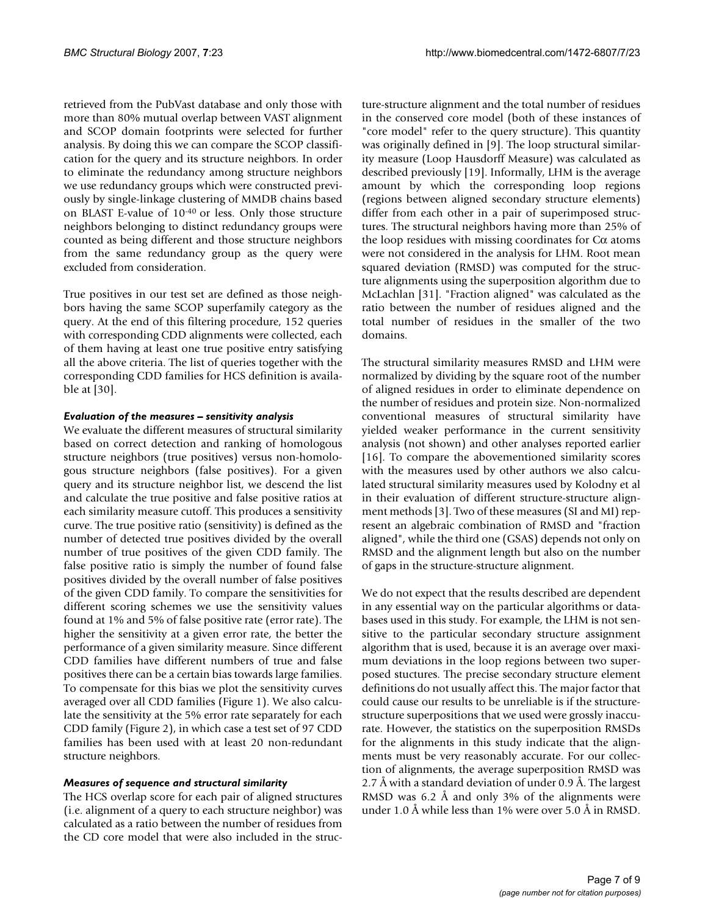retrieved from the PubVast database and only those with more than 80% mutual overlap between VAST alignment and SCOP domain footprints were selected for further analysis. By doing this we can compare the SCOP classification for the query and its structure neighbors. In order to eliminate the redundancy among structure neighbors we use redundancy groups which were constructed previously by single-linkage clustering of MMDB chains based on BLAST E-value of 10-40 or less. Only those structure neighbors belonging to distinct redundancy groups were counted as being different and those structure neighbors from the same redundancy group as the query were excluded from consideration.

True positives in our test set are defined as those neighbors having the same SCOP superfamily category as the query. At the end of this filtering procedure, 152 queries with corresponding CDD alignments were collected, each of them having at least one true positive entry satisfying all the above criteria. The list of queries together with the corresponding CDD families for HCS definition is available at [30].

### *Evaluation of the measures – sensitivity analysis*

We evaluate the different measures of structural similarity based on correct detection and ranking of homologous structure neighbors (true positives) versus non-homologous structure neighbors (false positives). For a given query and its structure neighbor list, we descend the list and calculate the true positive and false positive ratios at each similarity measure cutoff. This produces a sensitivity curve. The true positive ratio (sensitivity) is defined as the number of detected true positives divided by the overall number of true positives of the given CDD family. The false positive ratio is simply the number of found false positives divided by the overall number of false positives of the given CDD family. To compare the sensitivities for different scoring schemes we use the sensitivity values found at 1% and 5% of false positive rate (error rate). The higher the sensitivity at a given error rate, the better the performance of a given similarity measure. Since different CDD families have different numbers of true and false positives there can be a certain bias towards large families. To compensate for this bias we plot the sensitivity curves averaged over all CDD families (Figure 1). We also calculate the sensitivity at the 5% error rate separately for each CDD family (Figure 2), in which case a test set of 97 CDD families has been used with at least 20 non-redundant structure neighbors.

### *Measures of sequence and structural similarity*

The HCS overlap score for each pair of aligned structures (i.e. alignment of a query to each structure neighbor) was calculated as a ratio between the number of residues from the CD core model that were also included in the structure-structure alignment and the total number of residues in the conserved core model (both of these instances of "core model" refer to the query structure). This quantity was originally defined in [9]. The loop structural similarity measure (Loop Hausdorff Measure) was calculated as described previously [19]. Informally, LHM is the average amount by which the corresponding loop regions (regions between aligned secondary structure elements) differ from each other in a pair of superimposed structures. The structural neighbors having more than 25% of the loop residues with missing coordinates for  $C\alpha$  atoms were not considered in the analysis for LHM. Root mean squared deviation (RMSD) was computed for the structure alignments using the superposition algorithm due to McLachlan [31]. "Fraction aligned" was calculated as the ratio between the number of residues aligned and the total number of residues in the smaller of the two domains.

The structural similarity measures RMSD and LHM were normalized by dividing by the square root of the number of aligned residues in order to eliminate dependence on the number of residues and protein size. Non-normalized conventional measures of structural similarity have yielded weaker performance in the current sensitivity analysis (not shown) and other analyses reported earlier [16]. To compare the abovementioned similarity scores with the measures used by other authors we also calculated structural similarity measures used by Kolodny et al in their evaluation of different structure-structure alignment methods [3]. Two of these measures (SI and MI) represent an algebraic combination of RMSD and "fraction aligned", while the third one (GSAS) depends not only on RMSD and the alignment length but also on the number of gaps in the structure-structure alignment.

We do not expect that the results described are dependent in any essential way on the particular algorithms or databases used in this study. For example, the LHM is not sensitive to the particular secondary structure assignment algorithm that is used, because it is an average over maximum deviations in the loop regions between two superposed stuctures. The precise secondary structure element definitions do not usually affect this. The major factor that could cause our results to be unreliable is if the structurestructure superpositions that we used were grossly inaccurate. However, the statistics on the superposition RMSDs for the alignments in this study indicate that the alignments must be very reasonably accurate. For our collection of alignments, the average superposition RMSD was 2.7 Å with a standard deviation of under 0.9 Å. The largest RMSD was 6.2 Å and only 3% of the alignments were under 1.0 Å while less than 1% were over 5.0 Å in RMSD.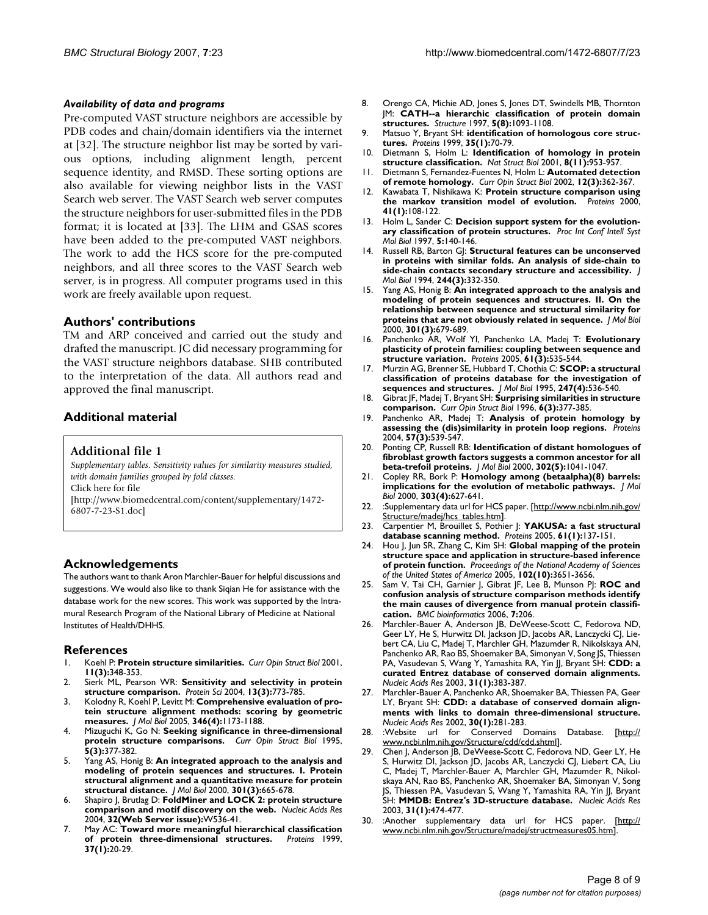#### *Availability of data and programs*

Pre-computed VAST structure neighbors are accessible by PDB codes and chain/domain identifiers via the internet at [32]. The structure neighbor list may be sorted by various options, including alignment length, percent sequence identity, and RMSD. These sorting options are also available for viewing neighbor lists in the VAST Search web server. The VAST Search web server computes the structure neighbors for user-submitted files in the PDB format; it is located at [33]. The LHM and GSAS scores have been added to the pre-computed VAST neighbors. The work to add the HCS score for the pre-computed neighbors, and all three scores to the VAST Search web server, is in progress. All computer programs used in this work are freely available upon request.

### **Authors' contributions**

TM and ARP conceived and carried out the study and drafted the manuscript. JC did necessary programming for the VAST structure neighbors database. SHB contributed to the interpretation of the data. All authors read and approved the final manuscript.

# **Additional material**

#### **Additional file 1**

*Supplementary tables. Sensitivity values for similarity measures studied, with domain families grouped by fold classes.* Click here for file [\[http://www.biomedcentral.com/content/supplementary/1472-](http://www.biomedcentral.com/content/supplementary/1472-6807-7-23-S1.doc) 6807-7-23-S1.doc]

# **Acknowledgements**

The authors want to thank Aron Marchler-Bauer for helpful discussions and suggestions. We would also like to thank Siqian He for assistance with the database work for the new scores. This work was supported by the Intramural Research Program of the National Library of Medicine at National Institutes of Health/DHHS.

#### **References**

- 1. Koehl P: **[Protein structure similarities.](http://www.ncbi.nlm.nih.gov/entrez/query.fcgi?cmd=Retrieve&db=PubMed&dopt=Abstract&list_uids=11406386)** *Curr Opin Struct Biol* 2001, **11(3):**348-353.
- 2. Sierk ML, Pearson WR: **[Sensitivity and selectivity in protein](http://www.ncbi.nlm.nih.gov/entrez/query.fcgi?cmd=Retrieve&db=PubMed&dopt=Abstract&list_uids=14978311) [structure comparison.](http://www.ncbi.nlm.nih.gov/entrez/query.fcgi?cmd=Retrieve&db=PubMed&dopt=Abstract&list_uids=14978311)** *Protein Sci* 2004, **13(3):**773-785.
- 3. Kolodny R, Koehl P, Levitt M: **[Comprehensive evaluation of pro](http://www.ncbi.nlm.nih.gov/entrez/query.fcgi?cmd=Retrieve&db=PubMed&dopt=Abstract&list_uids=15701525)[tein structure alignment methods: scoring by geometric](http://www.ncbi.nlm.nih.gov/entrez/query.fcgi?cmd=Retrieve&db=PubMed&dopt=Abstract&list_uids=15701525) [measures.](http://www.ncbi.nlm.nih.gov/entrez/query.fcgi?cmd=Retrieve&db=PubMed&dopt=Abstract&list_uids=15701525)** *J Mol Biol* 2005, **346(4):**1173-1188.
- 4. Mizuguchi K, Go N: **[Seeking significance in three-dimensional](http://www.ncbi.nlm.nih.gov/entrez/query.fcgi?cmd=Retrieve&db=PubMed&dopt=Abstract&list_uids=7583636) [protein structure comparisons.](http://www.ncbi.nlm.nih.gov/entrez/query.fcgi?cmd=Retrieve&db=PubMed&dopt=Abstract&list_uids=7583636)** *Curr Opin Struct Biol* 1995, **5(3):**377-382.
- 5. Yang AS, Honig B: **[An integrated approach to the analysis and](http://www.ncbi.nlm.nih.gov/entrez/query.fcgi?cmd=Retrieve&db=PubMed&dopt=Abstract&list_uids=10966776) [modeling of protein sequences and structures. I. Protein](http://www.ncbi.nlm.nih.gov/entrez/query.fcgi?cmd=Retrieve&db=PubMed&dopt=Abstract&list_uids=10966776) structural alignment and a quantitative measure for protein [structural distance.](http://www.ncbi.nlm.nih.gov/entrez/query.fcgi?cmd=Retrieve&db=PubMed&dopt=Abstract&list_uids=10966776)** *J Mol Biol* 2000, **301(3):**665-678.
- 6. Shapiro J, Brutlag D: **[FoldMiner and LOCK 2: protein structure](http://www.ncbi.nlm.nih.gov/entrez/query.fcgi?cmd=Retrieve&db=PubMed&dopt=Abstract&list_uids=15215444) [comparison and motif discovery on the web.](http://www.ncbi.nlm.nih.gov/entrez/query.fcgi?cmd=Retrieve&db=PubMed&dopt=Abstract&list_uids=15215444)** *Nucleic Acids Res* 2004, **32(Web Server issue):**W536-41.
- 7. May AC: **[Toward more meaningful hierarchical classification](http://www.ncbi.nlm.nih.gov/entrez/query.fcgi?cmd=Retrieve&db=PubMed&dopt=Abstract&list_uids=10451547) [of protein three-dimensional structures.](http://www.ncbi.nlm.nih.gov/entrez/query.fcgi?cmd=Retrieve&db=PubMed&dopt=Abstract&list_uids=10451547)** *Proteins* 1999, **37(1):**20-29.
- 8. Orengo CA, Michie AD, Jones S, Jones DT, Swindells MB, Thornton JM: **[CATH--a hierarchic classification of protein domain](http://www.ncbi.nlm.nih.gov/entrez/query.fcgi?cmd=Retrieve&db=PubMed&dopt=Abstract&list_uids=9309224) [structures.](http://www.ncbi.nlm.nih.gov/entrez/query.fcgi?cmd=Retrieve&db=PubMed&dopt=Abstract&list_uids=9309224)** *Structure* 1997, **5(8):**1093-1108.
- 9. Matsuo Y, Bryant SH: **[identification of homologous core struc](http://www.ncbi.nlm.nih.gov/entrez/query.fcgi?cmd=Retrieve&db=PubMed&dopt=Abstract&list_uids=10090287)[tures.](http://www.ncbi.nlm.nih.gov/entrez/query.fcgi?cmd=Retrieve&db=PubMed&dopt=Abstract&list_uids=10090287)** *Proteins* 1999, **35(1):**70-79.
- 10. Dietmann S, Holm L: **[Identification of homology in protein](http://www.ncbi.nlm.nih.gov/entrez/query.fcgi?cmd=Retrieve&db=PubMed&dopt=Abstract&list_uids=11685241) [structure classification.](http://www.ncbi.nlm.nih.gov/entrez/query.fcgi?cmd=Retrieve&db=PubMed&dopt=Abstract&list_uids=11685241)** *Nat Struct Biol* 2001, **8(11):**953-957.
- 11. Dietmann S, Fernandez-Fuentes N, Holm L: **[Automated detection](http://www.ncbi.nlm.nih.gov/entrez/query.fcgi?cmd=Retrieve&db=PubMed&dopt=Abstract&list_uids=12127456) [of remote homology.](http://www.ncbi.nlm.nih.gov/entrez/query.fcgi?cmd=Retrieve&db=PubMed&dopt=Abstract&list_uids=12127456)** *Curr Opin Struct Biol* 2002, **12(3):**362-367.
- 12. Kawabata T, Nishikawa K: **[Protein structure comparison using](http://www.ncbi.nlm.nih.gov/entrez/query.fcgi?cmd=Retrieve&db=PubMed&dopt=Abstract&list_uids=10944398) [the markov transition model of evolution.](http://www.ncbi.nlm.nih.gov/entrez/query.fcgi?cmd=Retrieve&db=PubMed&dopt=Abstract&list_uids=10944398)** *Proteins* 2000, **41(1):**108-122.
- 13. Holm L, Sander C: **[Decision support system for the evolution](http://www.ncbi.nlm.nih.gov/entrez/query.fcgi?cmd=Retrieve&db=PubMed&dopt=Abstract&list_uids=9322028)[ary classification of protein structures.](http://www.ncbi.nlm.nih.gov/entrez/query.fcgi?cmd=Retrieve&db=PubMed&dopt=Abstract&list_uids=9322028)** *Proc Int Conf Intell Syst Mol Biol* 1997, **5:**140-146.
- 14. Russell RB, Barton GJ: **[Structural features can be unconserved](http://www.ncbi.nlm.nih.gov/entrez/query.fcgi?cmd=Retrieve&db=PubMed&dopt=Abstract&list_uids=7966343) [in proteins with similar folds. An analysis of side-chain to](http://www.ncbi.nlm.nih.gov/entrez/query.fcgi?cmd=Retrieve&db=PubMed&dopt=Abstract&list_uids=7966343) [side-chain contacts secondary structure and accessibility.](http://www.ncbi.nlm.nih.gov/entrez/query.fcgi?cmd=Retrieve&db=PubMed&dopt=Abstract&list_uids=7966343)** *J Mol Biol* 1994, **244(3):**332-350.
- 15. Yang AS, Honig B: **[An integrated approach to the analysis and](http://www.ncbi.nlm.nih.gov/entrez/query.fcgi?cmd=Retrieve&db=PubMed&dopt=Abstract&list_uids=10966777) [modeling of protein sequences and structures. II. On the](http://www.ncbi.nlm.nih.gov/entrez/query.fcgi?cmd=Retrieve&db=PubMed&dopt=Abstract&list_uids=10966777) relationship between sequence and structural similarity for [proteins that are not obviously related in sequence.](http://www.ncbi.nlm.nih.gov/entrez/query.fcgi?cmd=Retrieve&db=PubMed&dopt=Abstract&list_uids=10966777)** *J Mol Biol* 2000, **301(3):**679-689.
- 16. Panchenko AR, Wolf YI, Panchenko LA, Madej T: **[Evolutionary](http://www.ncbi.nlm.nih.gov/entrez/query.fcgi?cmd=Retrieve&db=PubMed&dopt=Abstract&list_uids=16184609) [plasticity of protein families: coupling between sequence and](http://www.ncbi.nlm.nih.gov/entrez/query.fcgi?cmd=Retrieve&db=PubMed&dopt=Abstract&list_uids=16184609) [structure variation.](http://www.ncbi.nlm.nih.gov/entrez/query.fcgi?cmd=Retrieve&db=PubMed&dopt=Abstract&list_uids=16184609)** *Proteins* 2005, **61(3):**535-544.
- 17. Murzin AG, Brenner SE, Hubbard T, Chothia C: **[SCOP: a structural](http://www.ncbi.nlm.nih.gov/entrez/query.fcgi?cmd=Retrieve&db=PubMed&dopt=Abstract&list_uids=7723011) [classification of proteins database for the investigation of](http://www.ncbi.nlm.nih.gov/entrez/query.fcgi?cmd=Retrieve&db=PubMed&dopt=Abstract&list_uids=7723011) [sequences and structures.](http://www.ncbi.nlm.nih.gov/entrez/query.fcgi?cmd=Retrieve&db=PubMed&dopt=Abstract&list_uids=7723011)** *J Mol Biol* 1995, **247(4):**536-540.
- 18. Gibrat JF, Madej T, Bryant SH: **[Surprising similarities in structure](http://www.ncbi.nlm.nih.gov/entrez/query.fcgi?cmd=Retrieve&db=PubMed&dopt=Abstract&list_uids=8804824) [comparison.](http://www.ncbi.nlm.nih.gov/entrez/query.fcgi?cmd=Retrieve&db=PubMed&dopt=Abstract&list_uids=8804824)** *Curr Opin Struct Biol* 1996, **6(3):**377-385.
- 19. Panchenko AR, Madej T: **[Analysis of protein homology by](http://www.ncbi.nlm.nih.gov/entrez/query.fcgi?cmd=Retrieve&db=PubMed&dopt=Abstract&list_uids=15382231) [assessing the \(dis\)similarity in protein loop regions.](http://www.ncbi.nlm.nih.gov/entrez/query.fcgi?cmd=Retrieve&db=PubMed&dopt=Abstract&list_uids=15382231)** *Proteins* 2004, **57(3):**539-547.
- 20. Ponting CP, Russell RB: **[Identification of distant homologues of](http://www.ncbi.nlm.nih.gov/entrez/query.fcgi?cmd=Retrieve&db=PubMed&dopt=Abstract&list_uids=11183773) [fibroblast growth factors suggests a common ancestor for all](http://www.ncbi.nlm.nih.gov/entrez/query.fcgi?cmd=Retrieve&db=PubMed&dopt=Abstract&list_uids=11183773) [beta-trefoil proteins.](http://www.ncbi.nlm.nih.gov/entrez/query.fcgi?cmd=Retrieve&db=PubMed&dopt=Abstract&list_uids=11183773)** *J Mol Biol* 2000, **302(5):**1041-1047.
- 21. Copley RR, Bork P: **[Homology among \(betaalpha\)\(8\) barrels:](http://www.ncbi.nlm.nih.gov/entrez/query.fcgi?cmd=Retrieve&db=PubMed&dopt=Abstract&list_uids=11054297) [implications for the evolution of metabolic pathways.](http://www.ncbi.nlm.nih.gov/entrez/query.fcgi?cmd=Retrieve&db=PubMed&dopt=Abstract&list_uids=11054297)** *J Mol Biol* 2000, **303(4):**627-641.
- 22. :Supplementary data url for HCS paper. [[http://www.ncbi.nlm.nih.gov/](http://www.ncbi.nlm.nih.gov/Structure/madej/hcs_tables.htm) [Structure/madej/hcs\\_tables.htm](http://www.ncbi.nlm.nih.gov/Structure/madej/hcs_tables.htm)]
- 23. Carpentier M, Brouillet S, Pothier J: **[YAKUSA: a fast structural](http://www.ncbi.nlm.nih.gov/entrez/query.fcgi?cmd=Retrieve&db=PubMed&dopt=Abstract&list_uids=16049912) [database scanning method.](http://www.ncbi.nlm.nih.gov/entrez/query.fcgi?cmd=Retrieve&db=PubMed&dopt=Abstract&list_uids=16049912)** *Proteins* 2005, **61(1):**137-151.
- 24. Hou J, Jun SR, Zhang C, Kim SH: **[Global mapping of the protein](http://www.ncbi.nlm.nih.gov/entrez/query.fcgi?cmd=Retrieve&db=PubMed&dopt=Abstract&list_uids=15705717) [structure space and application in structure-based inference](http://www.ncbi.nlm.nih.gov/entrez/query.fcgi?cmd=Retrieve&db=PubMed&dopt=Abstract&list_uids=15705717) [of protein function.](http://www.ncbi.nlm.nih.gov/entrez/query.fcgi?cmd=Retrieve&db=PubMed&dopt=Abstract&list_uids=15705717)** *Proceedings of the National Academy of Sciences of the United States of America* 2005, **102(10):**3651-3656.
- 25. Sam V, Tai CH, Garnier J, Gibrat JF, Lee B, Munson PJ: **[ROC and](http://www.ncbi.nlm.nih.gov/entrez/query.fcgi?cmd=Retrieve&db=PubMed&dopt=Abstract&list_uids=16613604) [confusion analysis of structure comparison methods identify](http://www.ncbi.nlm.nih.gov/entrez/query.fcgi?cmd=Retrieve&db=PubMed&dopt=Abstract&list_uids=16613604) the main causes of divergence from manual protein classifi[cation.](http://www.ncbi.nlm.nih.gov/entrez/query.fcgi?cmd=Retrieve&db=PubMed&dopt=Abstract&list_uids=16613604)** *BMC bioinformatics* 2006, **7:**206.
- 26. Marchler-Bauer A, Anderson JB, DeWeese-Scott C, Fedorova ND, Geer LY, He S, Hurwitz DI, Jackson JD, Jacobs AR, Lanczycki CJ, Liebert CA, Liu C, Madej T, Marchler GH, Mazumder R, Nikolskaya AN, Panchenko AR, Rao BS, Shoemaker BA, Simonyan V, Song JS, Thiessen PA, Vasudevan S, Wang Y, Yamashita RA, Yin JJ, Bryant SH: **[CDD: a](http://www.ncbi.nlm.nih.gov/entrez/query.fcgi?cmd=Retrieve&db=PubMed&dopt=Abstract&list_uids=12520028) [curated Entrez database of conserved domain alignments.](http://www.ncbi.nlm.nih.gov/entrez/query.fcgi?cmd=Retrieve&db=PubMed&dopt=Abstract&list_uids=12520028)** *Nucleic Acids Res* 2003, **31(1):**383-387.
- 27. Marchler-Bauer A, Panchenko AR, Shoemaker BA, Thiessen PA, Geer LY, Bryant SH: **[CDD: a database of conserved domain align](http://www.ncbi.nlm.nih.gov/entrez/query.fcgi?cmd=Retrieve&db=PubMed&dopt=Abstract&list_uids=11752315)[ments with links to domain three-dimensional structure.](http://www.ncbi.nlm.nih.gov/entrez/query.fcgi?cmd=Retrieve&db=PubMed&dopt=Abstract&list_uids=11752315)** *Nucleic Acids Res* 2002, **30(1):**281-283.
- Conserved Domains Database. [\[http://](http://www.ncbi.nlm.nih.gov/Structure/cdd/cdd.shtml) [www.ncbi.nlm.nih.gov/Structure/cdd/cdd.shtml\]](http://www.ncbi.nlm.nih.gov/Structure/cdd/cdd.shtml).
- 29. Chen J, Anderson JB, DeWeese-Scott C, Fedorova ND, Geer LY, He S, Hurwitz DI, Jackson JD, Jacobs AR, Lanczycki CJ, Liebert CA, Liu C, Madej T, Marchler-Bauer A, Marchler GH, Mazumder R, Nikolskaya AN, Rao BS, Panchenko AR, Shoemaker BA, Simonyan V, Song JS, Thiessen PA, Vasudevan S, Wang Y, Yamashita RA, Yin JJ, Bryant SH: **[MMDB: Entrez's 3D-structure database.](http://www.ncbi.nlm.nih.gov/entrez/query.fcgi?cmd=Retrieve&db=PubMed&dopt=Abstract&list_uids=12520055)** *Nucleic Acids Res* 2003, **31(1):**474-477.
- :Another supplementary data url for HCS paper. [\[http://](http://www.ncbi.nlm.nih.gov/Structure/madej/structmeasures05.htm) [www.ncbi.nlm.nih.gov/Structure/madej/structmeasures05.htm](http://www.ncbi.nlm.nih.gov/Structure/madej/structmeasures05.htm)].